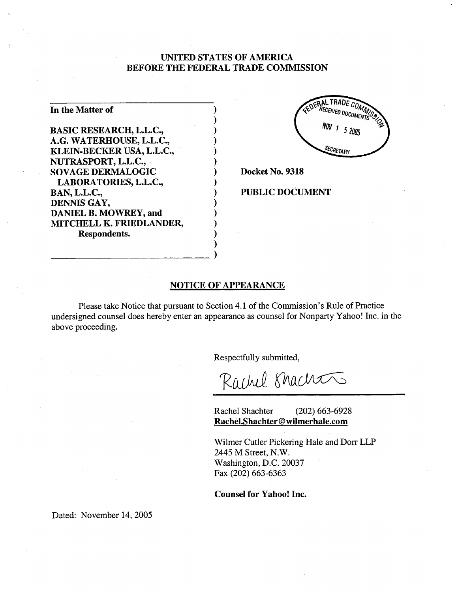## UNITED STATES OF AMERICA BEFORE THE FEDERAL TRADE COMMISSION

| In the Matter of               |  |
|--------------------------------|--|
| <b>BASIC RESEARCH, L.L.C.,</b> |  |
| A.G. WATERHOUSE, L.L.C.,       |  |
| KLEIN-BECKER USA, L.L.C.,      |  |
| NUTRASPORT, L.L.C.,            |  |
| <b>SOVAGE DERMALOGIC</b>       |  |
| LABORATORIES, L.L.C.,          |  |
| <b>BAN, L.L.C.,</b>            |  |
| DENNIS GAY,                    |  |
| DANIEL B. MOWREY, and          |  |
| MITCHELL K. FRIEDLANDER,       |  |
| Respondents.                   |  |
|                                |  |

DERAL TRADE CO RECEIVED DOCUMEN  $1\;\;5\;\;2005$ **SECRETARY** 

Docket No. 9318

### PUBLIC DOCUMENT

### NOTICE OF APPEARANCE

)

Please take Notice that pursuant to Section 4.1 of the Commission's Rule of Practice undersigned counsel does hereby enter an appearance as counsel for Nonparty Yahoo! Inc. in the above proceeding.

Respectfully submitted,

Rachel Brachas

Rachel Shachter (202) 663-6928 Rachel.Shachter@wilmerhale.com

Wilmer Cutler Pickering Hale and Dorr LLP 2445 M Street, N.W. Washington, D.C. 20037 Fax (202) 663-6363

Counsel for Yahoo! Inc.

Dated: November 14, 2005